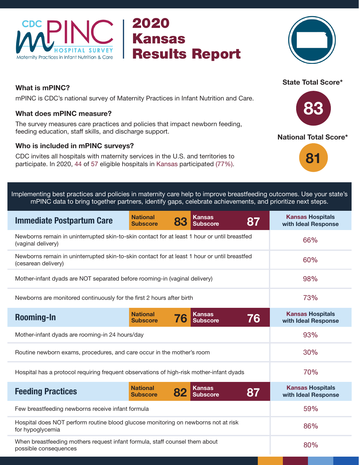

## 2020 Kansas Results Report



### What is mPINC?

mPINC is CDC's national survey of Maternity Practices in Infant Nutrition and Care.

#### What does mPINC measure?

The survey measures care practices and policies that impact newborn feeding, feeding education, staff skills, and discharge support.

#### Who is included in mPINC surveys?

CDC invites all hospitals with maternity services in the U.S. and territories to participate. In 2020, 44 of 57 eligible hospitals in Kansas participated (77%).

# State Total Score\*



#### National Total Score\*:



|  |  |  |  | Implementing best practices and policies in maternity care help to improve breastfeeding outcomes. Use your state's ' |  |
|--|--|--|--|-----------------------------------------------------------------------------------------------------------------------|--|
|  |  |  |  | n mPINC data to bring together partners, identify gaps, celebrate achievements, and prioritize next steps.            |  |

| <b>Immediate Postpartum Care</b>                                                                                    | <b>National</b><br><b>Subscore</b> |    | <b>Kansas</b><br><b>Subscore</b> | 87 | <b>Kansas Hospitals</b><br>with Ideal Response |
|---------------------------------------------------------------------------------------------------------------------|------------------------------------|----|----------------------------------|----|------------------------------------------------|
| Newborns remain in uninterrupted skin-to-skin contact for at least 1 hour or until breastfed<br>(vaginal delivery)  |                                    |    |                                  |    | 66%                                            |
| Newborns remain in uninterrupted skin-to-skin contact for at least 1 hour or until breastfed<br>(cesarean delivery) | 60%                                |    |                                  |    |                                                |
| Mother-infant dyads are NOT separated before rooming-in (vaginal delivery)                                          | 98%                                |    |                                  |    |                                                |
| Newborns are monitored continuously for the first 2 hours after birth                                               | 73%                                |    |                                  |    |                                                |
| <b>Rooming-In</b>                                                                                                   | <b>National</b><br><b>Subscore</b> | 76 | <b>Kansas</b><br><b>Subscore</b> | 76 | <b>Kansas Hospitals</b><br>with Ideal Response |
| Mother-infant dyads are rooming-in 24 hours/day                                                                     | 93%                                |    |                                  |    |                                                |
| Routine newborn exams, procedures, and care occur in the mother's room                                              | 30%                                |    |                                  |    |                                                |
| Hospital has a protocol requiring frequent observations of high-risk mother-infant dyads                            | 70%                                |    |                                  |    |                                                |
| <b>Feeding Practices</b>                                                                                            | <b>National</b><br><b>Subscore</b> | 82 | <b>Kansas</b><br><b>Subscore</b> | 87 | <b>Kansas Hospitals</b><br>with Ideal Response |
| Few breastfeeding newborns receive infant formula                                                                   | 59%                                |    |                                  |    |                                                |
| Hospital does NOT perform routine blood glucose monitoring on newborns not at risk<br>for hypoglycemia              | 86%                                |    |                                  |    |                                                |
| When breastfeeding mothers request infant formula, staff counsel them about<br>possible consequences                | 80%                                |    |                                  |    |                                                |